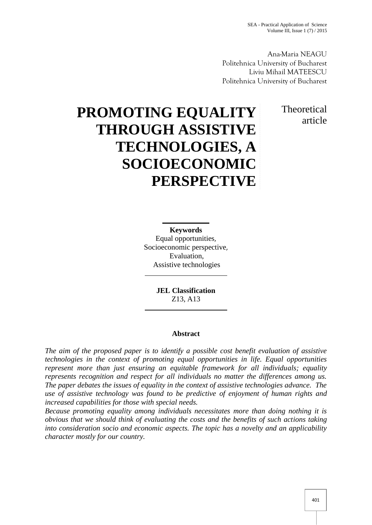Ana-Maria NEAGU Politehnica University of Bucharest Liviu Mihail MATEESCU Politehnica University of Bucharest

> **Theoretical** article

# **PROMOTING EQUALITY THROUGH ASSISTIVE TECHNOLOGIES, A SOCIOECONOMIC PERSPECTIVE**

**Keywords**

Equal opportunities, Socioeconomic perspective, Evaluation, Assistive technologies

> **JEL Classification** Z13, A13

# **Abstract**

*The aim of the proposed paper is to identify a possible cost benefit evaluation of assistive technologies in the context of promoting equal opportunities in life. Equal opportunities represent more than just ensuring an equitable framework for all individuals; equality represents recognition and respect for all individuals no matter the differences among us. The paper debates the issues of equality in the context of assistive technologies advance. The use of assistive technology was found to be predictive of enjoyment of human rights and increased capabilities for those with special needs.*

*Because promoting equality among individuals necessitates more than doing nothing it is obvious that we should think of evaluating the costs and the benefits of such actions taking into consideration socio and economic aspects. The topic has a novelty and an applicability character mostly for our country.*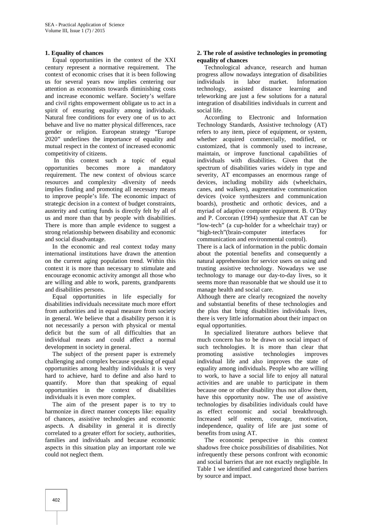## **1. Equality of chances**

Equal opportunities in the context of the XXI century represent a normative requirement. The context of economic crises that it is been following us for several years now implies centering our attention as economists towards diminishing costs and increase economic welfare. Society's welfare and civil rights empowerment obligate us to act in a spirit of ensuring equality among individuals. Natural free conditions for every one of us to act behave and live no matter physical differences, race gender or religion. European strategy "Europe 2020" underlines the importance of equality and mutual respect in the context of increased economic competitivity of citizens.

In this context such a topic of equal opportunities becomes more a mandatory requirement. The new context of obvious scarce resources and complexity -diversity of needs implies finding and promoting all necessary means to improve people's life. The economic impact of strategic decision in a context of budget constraints, austerity and cutting funds is directly felt by all of us and more than that by people with disabilities. There is more than ample evidence to suggest a strong relationship between disability and economic and social disadvantage.

In the economic and real context today many international institutions have drawn the attention on the current aging population trend. Within this context it is more than necessary to stimulate and encourage economic activity amongst all those who are willing and able to work, parents, grandparents and disabilities persons.

Equal opportunities in life especially for disabilities individuals necessitate much more effort from authorities and in equal measure from society in general. We believe that a disability person it is not necessarily a person with physical or mental deficit but the sum of all difficulties that an individual meats and could affect a normal development in society in general.

The subject of the present paper is extremely promoting challenging and complex because speaking of equal opportunities among healthy individuals it is very hard to achieve, hard to define and also hard to quantify. More than that speaking of equal opportunities in the context of disabilities individuals it is even more complex.

The aim of the present paper is to try to harmonize in direct manner concepts like: equality of chances, assistive technologies and economic aspects. A disability in general it is directly correlated to a greater effort for society, authorities, families and individuals and because economic aspects in this situation play an important role we could not neglect them.

#### **2. The role of assistive technologies in promoting equality of chances**

Technological advance, research and human progress allow nowadays integration of disabilities individuals in labor market. Information technology, assisted distance learning and teleworking are just a few solutions for a natural integration of disabilities individuals in current and social life.

According to Electronic and Information Technology Standards, Assistive technology (AT) refers to any item, piece of equipment, or system, whether acquired commercially, modified, or customized, that is commonly used to increase, maintain, or improve functional capabilities of individuals with disabilities. Given that the spectrum of disabilities varies widely in type and severity, AT encompasses an enormous range of devices, including mobility aids (wheelchairs, canes, and walkers), augmentative communication devices (voice synthesizers and communication boards), prosthetic and orthotic devices, and a myriad of adaptive computer equipment. B. O'Day and P. Corcoran (1994) synthesize that AT can be "low-tech" (a cup-holder for a wheelchair tray) or "high-tech"(brain-computer interfaces for communication and environmental control).

There is a lack of information in the public domain about the potential benefits and consequently a natural apprehension for service users on using and trusting assistive technology. Nowadays we use technology to manage our day-to-day lives, so it seems more than reasonable that we should use it to manage health and social care.

Although there are clearly recognized the novelty and substantial benefits of these technologies and the plus that bring disabilities individuals lives, there is very little information about their impact on equal opportunities.

In specialized literature authors believe that much concern has to be drawn on social impact of such technologies. It is more than clear that assistive technologies improves individual life and also improves the state of equality among individuals. People who are willing to work, to have a social life to enjoy all natural activities and are unable to participate in them because one or other disability thus not allow them, have this opportunity now. The use of assistive technologies by disabilities individuals could have as effect economic and social breakthrough. Increased self esteem, courage, motivation, independence, quality of life are just some of benefits from using AT.

The economic perspective in this context shadows free choice possibilities of disabilities. Not infrequently these persons confront with economic and social barriers that are not exactly negligible. In Table 1 we identified and categorized those barriers by source and impact.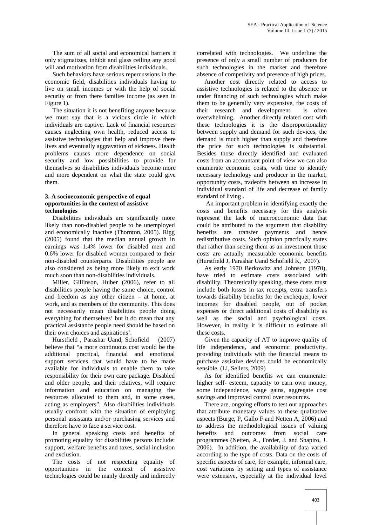The sum of all social and economical barriers it only stigmatizes, inhibit and glass ceiling any good will and motivation from disabilities individuals.

Such behaviors have serious repercussions in the economic field, disabilities individuals having to live on small incomes or with the help of social security or from there families income (as seen in Figure 1).

The situation it is not benefiting anyone because we must say that is a vicious circle in which individuals are captive. Lack of financial resources causes neglecting own health, reduced access to assistive technologies that help and improve there lives and eventually aggravation of sickness. Health problems causes more dependence on social security and low possibilities to provide for themselves so disabilities individuals become more and more dependent on what the state could give them.

### **3. A socioeconomic perspective of equal opportunities in the context of assistive technologies**

Disabilities individuals are significantly more likely than non-disabled people to be unemployed and economically inactive (Thornton, 2005). Rigg (2005) found that the median annual growth in earnings was 1.4% lower for disabled men and 0.6% lower for disabled women compared to their non-disabled counterparts. Disabilities people are also considered as being more likely to exit work much soon than non-disabilities individuals.

Miller, Gillinson, Huber (2006), refer to all disabilities people having the same choice, control and freedom as any other citizen – at home, at work, and as members of the community. This does not necessarily mean disabilities people doing everything for themselves' but it do mean that any practical assistance people need should be based on their own choices and aspirations'.

Hurstfield , Parashar Uand, Schofield (2007) believe that "a more continuous cost would be the additional practical, financial and emotional support services that would have to be made available for individuals to enable them to take responsibility for their own care package. Disabled and older people, and their relatives, will require information and education on managing the resources allocated to them and, in some cases, acting as employers". Also disabilities individuals usually confront with the situation of employing personal assistants and/or purchasing services and therefore have to face a service cost.

In general speaking costs and benefits of promoting equality for disabilities persons include: support, welfare benefits and taxes, social inclusion and exclusion.

The costs of not respecting equality of opportunities in the context of assistive technologies could be manly directly and indirectly

correlated with technologies. We underline the presence of only a small number of producers for such technologies in the market and therefore absence of competivity and presence of high prices.

Another cost directly related to access to assistive technologies is related to the absence or under financing of such technologies which make them to be generally very expensive, the costs of their research and development is often overwhelming. Another directly related cost with these technologies it is the disproportionality between supply and demand for such devices, the demand is much higher than supply and therefore the price for such technologies is substantial. Besides those directly identified and evaluated costs from an accountant point of view we can also enumerate economic costs, with time to identify necessary technology and producer in the market, opportunity costs, tradeoffs between an increase in individual standard of life and decrease of family standard of living .

An important problem in identifying exactly the costs and benefits necessary for this analysis represent the lack of macroeconomic data that could be attributed to the argument that disability benefits are transfer payments and hence redistributive costs. Such opinion practically states that rather than seeing them as an investment those costs are actually measurable economic benefits (Hurstfield J, Parashar Uand Schofield K, 2007).

As early 1970 Berkowitz and Johnson (1970), have tried to estimate costs associated with disability. Theoretically speaking, these costs must include both losses in tax receipts, extra transfers towards disability benefits for the exchequer, lower incomes for disabled people, out of pocket expenses or direct additional costs of disability as well as the social and psychological costs. However, in reality it is difficult to estimate all these costs.

Given the capacity of AT to improve quality of life independence, and economic productivity, providing individuals with the financial means to purchase assistive devices could be economically sensible. (Li, Sellers, 2009)

As for identified benefits we can enumerate: higher self- esteem, capacity to earn own money, some independence, wage gains, aggregate cost savings and improved control over resources.

There are, ongoing efforts to test out approaches that attribute monetary values to these qualitative aspects (Burge, P, Gallo F and Netten A, 2006) and to address the methodological issues of valuing benefits and outcomes from social care programmes (Netten, A., Forder, J. and Shapiro, J. 2006). In addition, the availability of data varied according to the type of costs. Data on the costs of specific aspects of care, for example, informal care, cost variations by setting and types of assistance were extensive, especially at the individual level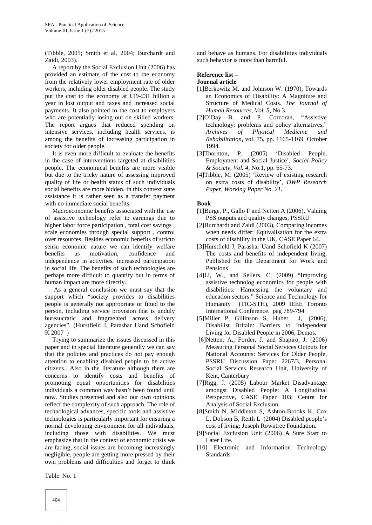(Tibble, 2005; Smith et al, 2004; Burchardt and Zaidi, 2003).

A report by the Social Exclusion Unit (2006) has provided an estimate of the cost to the economy from the relatively lower employment rate of older workers, including older disabled people. The study put the cost to the economy at £19-£31 billion a year in lost output and taxes and increased social payments. It also pointed to the cost to employers who are potentially losing out on skilled workers. The report argues that reduced spending on intensive services, including health services, is among the benefits of increasing participation in society for older people.

It is even more difficult to evaluate the benefits in the case of interventions targeted at disabilities people. The economical benefits are more visible but due to the tricky nature of assessing improved quality of life or health status of such individuals social benefits are more hidden. In this context state assistance it is rather seen as a transfer payment with no immediate social benefits.

Macroeconomic benefits associated with the use of assistive technology refer to earnings due to higher labor force participation , total cost savings , scale economies through special support , control over resources. Besides economic benefits of stricto sensu economic nature we can identify welfare benefits as motivation, confidence and independence in activities, increased participation in social life. The benefits of such technologies are perhaps more difficult to quantify but in terms of human impact are more directly.

As a general conclusion we must say that the support which "society provides to disabilities people is generally not appropriate or fitted to the person, including service provision that is unduly bureaucratic and fragmented across delivery agencies". (Hurstfield J, Parashar Uand Schofield K 2007 )

Trying to summarize the issues discussed in this paper and in special literature generally we can say that the policies and practices do not pay enough attention to enabling disabled people to be active citizens.. Also in the literature although there are concerns to identify costs and benefits of promoting equal opportunities for disabilities individuals a common way hasn't been found until now. Studies presented and also our own opinions reflect the complexity of such approach. The role of technological advances, specific tools and assistive technologies is particularly important for ensuring a normal developing environment for all individuals, including those with disabilities. We must emphasize that in the context of economic crisis we are facing, social issues are becoming increasingly negligible, people are getting more pressed by their own problems and difficulties and forget to think

and behave as humans. For disabilities individuals such behavior is more than harmful.

#### **Reference list –**

**Journal article**

- [1]Berkowitz M. and Johnson W. (1970), Towards an Economics of Disability: A Magnitute and Structure of Medical Costs. *The Journal of Human Resources, Vol. 5*, No.3.
- [2]O'Day B. and P. Corcoran, "Assistive technology: problems and policy alternatives," *Archives of Physical Medicine and Rehabilitation,* vol. 75, pp. 1165-1169, October 1994.
- [3]Thornton, P. (2005) 'Disabled People, Employment and Social Justice', *Social Policy & Society, Vol. 4*, No.1, pp. 65-73.
- [4]Tibble, M. (2005) 'Review of existing research on extra costs of disability', *DWP Research Paper, Working Paper No. 21.*

#### **Book**

- [1]Burge, P., Gallo F and Netten A (2006), Valuing PSS outputs and quality changes, PSSRU
- [2]Burchardt and Zaidi (2003), Comparing incomes when needs differ: Equivalisation for the extra costs of disability in the UK, CASE Paper 64.
- [3]Hurstfield J, Parashar Uand Schofield K (2007) The costs and benefits of independent living, Published for the Department for Work and Pensions
- [4]Li, W., and Sellers. C. (2009) "Improving assistive technolog economics for people with disabilities: Harnessing the voluntary and education sectors." Science and Technology for Humanity (TIC-STH), 2009 IEEE Toronto International Conference. pag 789-794
- [5]Miller P, Gillinson S, Huber J, (2006), Disabilist Britain: Barriers to Independent Living for Disabled People in 2006, Demos.
- [6]Netten, A., Forder, J. and Shapiro, J. (2006) Measuring Personal Social Services Outputs for National Accounts: Services for Older People, PSSRU Discussion Paper 2267/3, Personal Social Services Research Unit, University of Kent, Canterbury
- [7]Rigg, J. (2005) Labour Market Disadvantage amongst Disabled People: A Longitudinal Perspective, CASE Paper 103: Centre for Analysis of Social Exclusion.
- [8]Smith N, Middleton S, Ashton-Brooks K, Cox L, Dobson B, Reith L (2004) Disabled people's cost of living: Joseph Rowntree Foundation.
- [9]Social Exclusion Unit (2006) A Sure Start to Later Life.
- [10] Electronic and Information Technology Standards

Table No. 1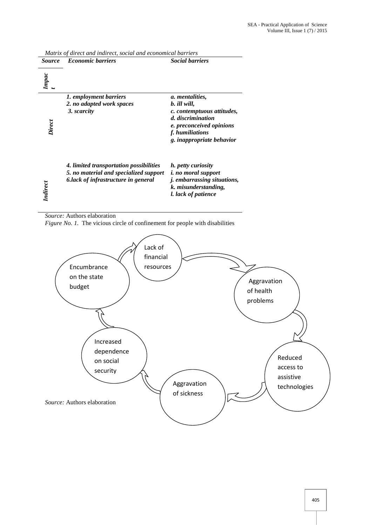| <i>Source</i>   | <b>Economic barriers</b>                | <b>Social barriers</b>             |
|-----------------|-----------------------------------------|------------------------------------|
| Impac           |                                         |                                    |
|                 | 1. employment barriers                  | a. mentalities,                    |
|                 | 2. no adapted work spaces               | b. ill will,                       |
|                 | 3. scarcity                             | c. contemptuous attitudes,         |
|                 |                                         | d. discrimination                  |
| Direct          |                                         | e. preconceived opinions           |
|                 |                                         | f. humiliations                    |
|                 |                                         | g. inappropriate behavior          |
|                 | 4. limited transportation possibilities | h. petty curiosity                 |
|                 | 5. no material and specialized support  | <i>i. no moral support</i>         |
|                 | 6. lack of infrastructure in general    | <i>j.</i> embarrassing situations, |
|                 |                                         | k. misunderstanding,               |
| <b>Indirect</b> |                                         | l. lack of patience                |

*Matrix of direct and indirect, social and economical barriers*

*Source:* Authors elaboration

*Figure No. 1.* The vicious circle of confinement for people with disabilities